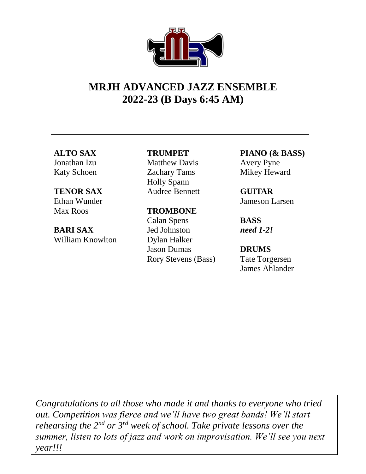# **MRJH ADVANCED JAZZ ENSEMBLE 2022-23 (B Days 6:45 AM)**

#### **ALTO SAX** Jonathan Izu

Katy Schoen

# **TENOR SAX**

Ethan Wunder Max Roos

### **BARI SAX** William Knowlton

## **TRUMPET**

Matthew Davis Zachary Tams Holly Spann Audree Bennett

# **TROMBONE**

Calan Spens Jed Johnston Dylan Halker Jason Dumas Rory Stevens (Bass) **PIANO (& BASS)** Avery Pyne Mikey Heward

**GUITAR** Jameson Larsen

**BASS** *need 1-2!*

**DRUMS** Tate Torgersen James Ahlander

*Congratulations to all those who made it and thanks to everyone who tried out. Competition was fierce and we'll have two great bands! We'll start rehearsing the 2nd or 3rd week of school. Take private lessons over the summer, listen to lots of jazz and work on improvisation. We'll see you next year!!!*